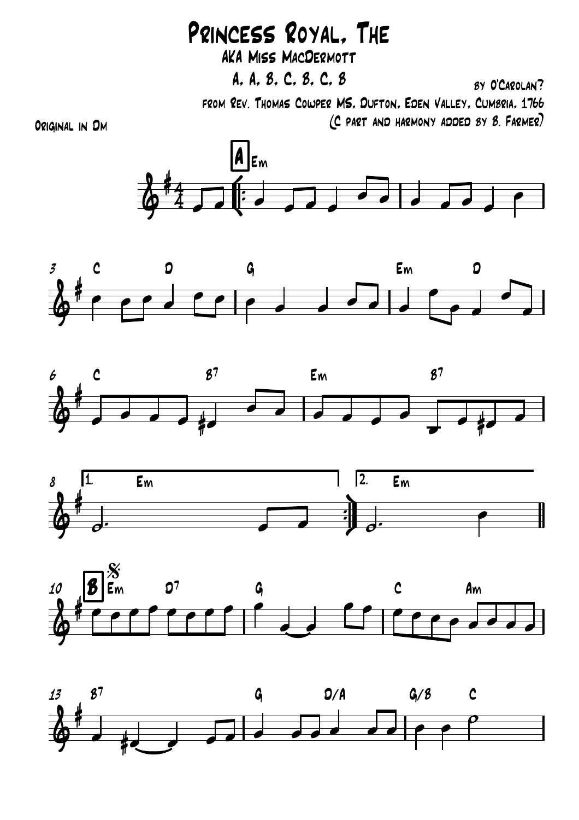## Princess Royal, The

AKA Miss MacDermott

A, A, B, C, B, C, B

by O'Carolan?

from Rev. Thomas Cowper MS, Dufton, Eden Valley, Cumbria, 1766 (C part and harmony added by B. Farmer)

Original in Dm